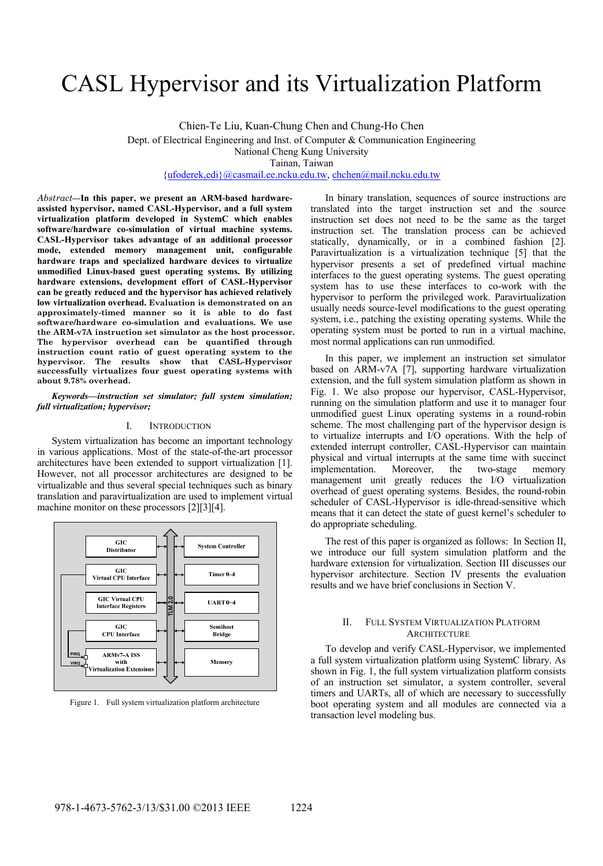# CASL Hypervisor and its Virtualization Platform

Chien-Te Liu, Kuan-Chung Chen and Chung-Ho Chen Dept. of Electrical Engineering and Inst. of Computer & Communication Engineering National Cheng Kung University Tainan, Taiwan {ufoderek,edi}@casmail.ee.ncku.edu.tw, chchen@mail.ncku.edu.tw

*Abstract***—In this paper, we present an ARM-based hardwareassisted hypervisor, named CASL-Hypervisor, and a full system virtualization platform developed in SystemC which enables software/hardware co-simulation of virtual machine systems. CASL-Hypervisor takes advantage of an additional processor mode, extended memory management unit, configurable hardware traps and specialized hardware devices to virtualize unmodified Linux-based guest operating systems. By utilizing hardware extensions, development effort of CASL-Hypervisor can be greatly reduced and the hypervisor has achieved relatively low virtualization overhead. Evaluation is demonstrated on an approximately-timed manner so it is able to do fast software/hardware co-simulation and evaluations. We use the ARM-v7A instruction set simulator as the host processor. The hypervisor overhead can be quantified through instruction count ratio of guest operating system to the hypervisor. The results show that CASL-Hypervisor successfully virtualizes four guest operating systems with about 9.78% overhead.** 

## *Keywords—instruction set simulator; full system simulation; full virtualization; hypervisor;*

## I. INTRODUCTION

System virtualization has become an important technology in various applications. Most of the state-of-the-art processor architectures have been extended to support virtualization [1]. However, not all processor architectures are designed to be virtualizable and thus several special techniques such as binary translation and paravirtualization are used to implement virtual machine monitor on these processors [2][3][4].



Figure 1. Full system virtualization platform architecture

In binary translation, sequences of source instructions are translated into the target instruction set and the source instruction set does not need to be the same as the target instruction set. The translation process can be achieved statically, dynamically, or in a combined fashion [2]. Paravirtualization is a virtualization technique [5] that the hypervisor presents a set of predefined virtual machine interfaces to the guest operating systems. The guest operating system has to use these interfaces to co-work with the hypervisor to perform the privileged work. Paravirtualization usually needs source-level modifications to the guest operating system, i.e., patching the existing operating systems. While the operating system must be ported to run in a virtual machine, most normal applications can run unmodified.

In this paper, we implement an instruction set simulator based on ARM-v7A [7], supporting hardware virtualization extension, and the full system simulation platform as shown in Fig. 1. We also propose our hypervisor, CASL-Hypervisor, running on the simulation platform and use it to manager four unmodified guest Linux operating systems in a round-robin scheme. The most challenging part of the hypervisor design is to virtualize interrupts and I/O operations. With the help of extended interrupt controller, CASL-Hypervisor can maintain physical and virtual interrupts at the same time with succinct<br>implementation. Moreover, the two-stage memory implementation. Moreover, the two-stage memory management unit greatly reduces the I/O virtualization overhead of guest operating systems. Besides, the round-robin scheduler of CASL-Hypervisor is idle-thread-sensitive which means that it can detect the state of guest kernel's scheduler to do appropriate scheduling.

The rest of this paper is organized as follows: In Section II, we introduce our full system simulation platform and the hardware extension for virtualization. Section III discusses our hypervisor architecture. Section IV presents the evaluation results and we have brief conclusions in Section V.

## II. FULL SYSTEM VIRTUALIZATION PLATFORM **ARCHITECTURE**

To develop and verify CASL-Hypervisor, we implemented a full system virtualization platform using SystemC library. As shown in Fig. 1, the full system virtualization platform consists of an instruction set simulator, a system controller, several timers and UARTs, all of which are necessary to successfully boot operating system and all modules are connected via a transaction level modeling bus.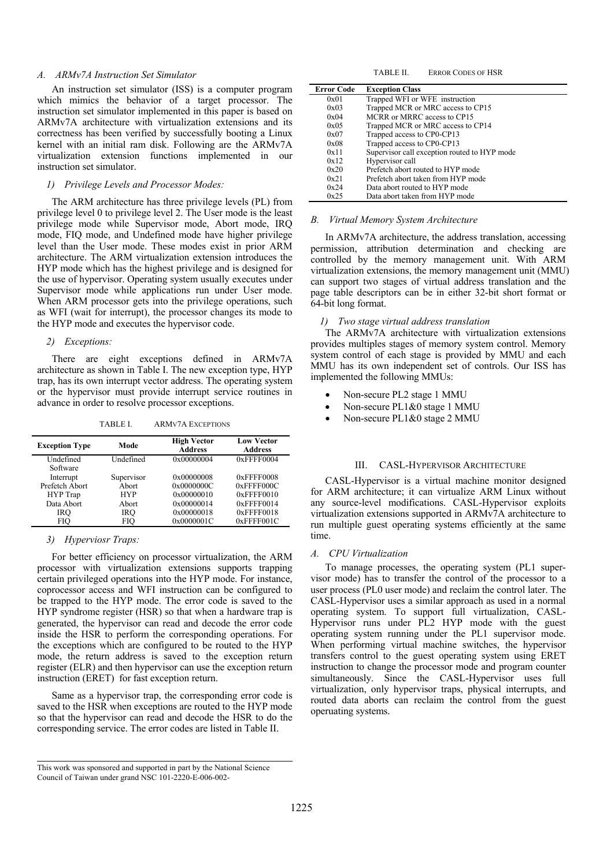## *A. ARMv7A Instruction Set Simulator*

An instruction set simulator (ISS) is a computer program which mimics the behavior of a target processor. The instruction set simulator implemented in this paper is based on ARMv7A architecture with virtualization extensions and its correctness has been verified by successfully booting a Linux kernel with an initial ram disk. Following are the ARMv7A virtualization extension functions implemented in our instruction set simulator.

## *1) Privilege Levels and Processor Modes:*

The ARM architecture has three privilege levels (PL) from privilege level 0 to privilege level 2. The User mode is the least privilege mode while Supervisor mode, Abort mode, IRQ mode, FIQ mode, and Undefined mode have higher privilege level than the User mode. These modes exist in prior ARM architecture. The ARM virtualization extension introduces the HYP mode which has the highest privilege and is designed for the use of hypervisor. Operating system usually executes under Supervisor mode while applications run under User mode. When ARM processor gets into the privilege operations, such as WFI (wait for interrupt), the processor changes its mode to the HYP mode and executes the hypervisor code.

#### *2) Exceptions:*

There are eight exceptions defined in ARMv7A architecture as shown in Table I. The new exception type, HYP trap, has its own interrupt vector address. The operating system or the hypervisor must provide interrupt service routines in advance in order to resolve processor exceptions.

TABLE I. ARMV7A EXCEPTIONS

| <b>Exception Type</b> | Mode       | <b>High Vector</b><br><b>Address</b> | <b>Low Vector</b><br><b>Address</b> |
|-----------------------|------------|--------------------------------------|-------------------------------------|
| Undefined             | Undefined  | 0x00000004                           | 0xFFFF0004                          |
| Software              |            |                                      |                                     |
| Interrupt             | Supervisor | 0x00000008                           | $0x$ FFFF0008                       |
| Prefetch Abort        | Abort      | 0x0000000C                           | 0xFFFF000C                          |
| HYP Trap              | <b>HYP</b> | 0x00000010                           | $0x$ FFFF0010                       |
| Data Abort            | Abort      | 0x00000014                           | $0x$ FFFF0014                       |
| IRO                   | <b>IRO</b> | 0x00000018                           | $0x$ FFFF $0018$                    |
| <b>FIO</b>            | FIO        | 0x0000001C                           | $0x$ FFFF001C                       |

#### *3) Hyperviosr Traps:*

For better efficiency on processor virtualization, the ARM processor with virtualization extensions supports trapping certain privileged operations into the HYP mode. For instance, coprocessor access and WFI instruction can be configured to be trapped to the HYP mode. The error code is saved to the HYP syndrome register (HSR) so that when a hardware trap is generated, the hypervisor can read and decode the error code inside the HSR to perform the corresponding operations. For the exceptions which are configured to be routed to the HYP mode, the return address is saved to the exception return register (ELR) and then hypervisor can use the exception return instruction (ERET) for fast exception return.

Same as a hypervisor trap, the corresponding error code is saved to the HSR when exceptions are routed to the HYP mode so that the hypervisor can read and decode the HSR to do the corresponding service. The error codes are listed in Table II.

TABLE II. ERROR CODES OF HSR

| <b>Error Code</b> | <b>Exception Class</b>                       |
|-------------------|----------------------------------------------|
| 0x01              | Trapped WFI or WFE instruction               |
| 0x03              | Trapped MCR or MRC access to CP15            |
| 0x04              | MCRR or MRRC access to CP15                  |
| 0x05              | Trapped MCR or MRC access to CP14            |
| 0x07              | Trapped access to CP0-CP13                   |
| 0x08              | Trapped access to CP0-CP13                   |
| 0x11              | Supervisor call exception routed to HYP mode |
| 0x12              | Hypervisor call                              |
| 0x20              | Prefetch abort routed to HYP mode            |
| 0x21              | Prefetch abort taken from HYP mode           |
| 0x24              | Data abort routed to HYP mode                |
| 0x25              | Data abort taken from HYP mode               |

#### *B. Virtual Memory System Architecture*

In ARMv7A architecture, the address translation, accessing permission, attribution determination and checking are controlled by the memory management unit. With ARM virtualization extensions, the memory management unit (MMU) can support two stages of virtual address translation and the page table descriptors can be in either 32-bit short format or 64-bit long format.

#### *1) Two stage virtual address translation*

The ARMv7A architecture with virtualization extensions provides multiples stages of memory system control. Memory system control of each stage is provided by MMU and each MMU has its own independent set of controls. Our ISS has implemented the following MMUs:

- Non-secure PL2 stage 1 MMU
- Non-secure PL1&0 stage 1 MMU
- Non-secure PL1&0 stage 2 MMU

## III. CASL-HYPERVISOR ARCHITECTURE

CASL-Hypervisor is a virtual machine monitor designed for ARM architecture; it can virtualize ARM Linux without any source-level modifications. CASL-Hypervisor exploits virtualization extensions supported in ARMv7A architecture to run multiple guest operating systems efficiently at the same time.

## *A. CPU Virtualization*

To manage processes, the operating system (PL1 supervisor mode) has to transfer the control of the processor to a user process (PL0 user mode) and reclaim the control later. The CASL-Hypervisor uses a similar approach as used in a normal operating system. To support full virtualization, CASL-Hypervisor runs under PL2 HYP mode with the guest operating system running under the PL1 supervisor mode. When performing virtual machine switches, the hypervisor transfers control to the guest operating system using ERET instruction to change the processor mode and program counter simultaneously. Since the CASL-Hypervisor uses full virtualization, only hypervisor traps, physical interrupts, and routed data aborts can reclaim the control from the guest operuating systems.

This work was sponsored and supported in part by the National Science Council of Taiwan under grand NSC 101-2220-E-006-002-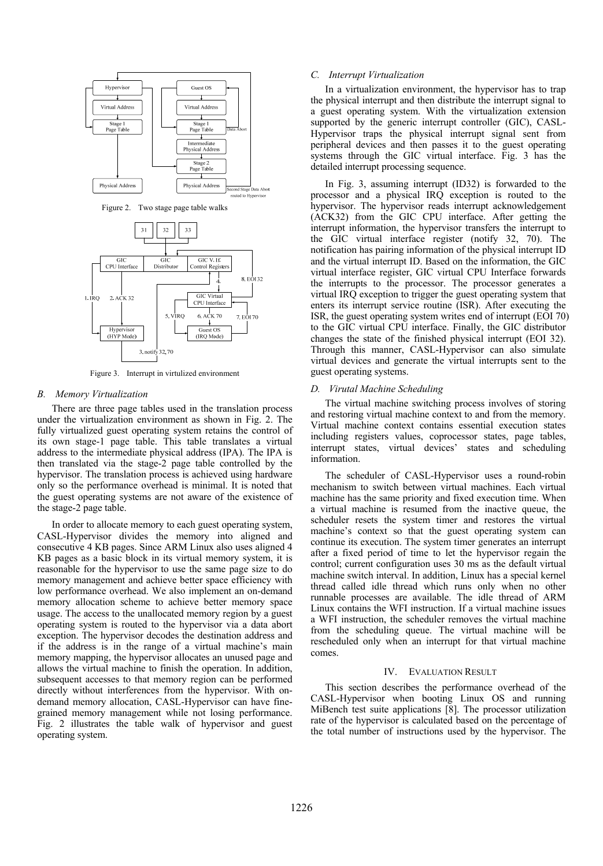

Figure 3. Interrupt in virtulized environment

## *B. Memory Virtualization*

There are three page tables used in the translation process under the virtualization environment as shown in Fig. 2. The fully virtualized guest operating system retains the control of its own stage-1 page table. This table translates a virtual address to the intermediate physical address (IPA). The IPA is then translated via the stage-2 page table controlled by the hypervisor. The translation process is achieved using hardware only so the performance overhead is minimal. It is noted that the guest operating systems are not aware of the existence of the stage-2 page table.

In order to allocate memory to each guest operating system, CASL-Hypervisor divides the memory into aligned and consecutive 4 KB pages. Since ARM Linux also uses aligned 4 KB pages as a basic block in its virtual memory system, it is reasonable for the hypervisor to use the same page size to do memory management and achieve better space efficiency with low performance overhead. We also implement an on-demand memory allocation scheme to achieve better memory space usage. The access to the unallocated memory region by a guest operating system is routed to the hypervisor via a data abort exception. The hypervisor decodes the destination address and if the address is in the range of a virtual machine's main memory mapping, the hypervisor allocates an unused page and allows the virtual machine to finish the operation. In addition, subsequent accesses to that memory region can be performed directly without interferences from the hypervisor. With ondemand memory allocation, CASL-Hypervisor can have finegrained memory management while not losing performance. Fig. 2 illustrates the table walk of hypervisor and guest operating system.

#### *C. Interrupt Virtualization*

In a virtualization environment, the hypervisor has to trap the physical interrupt and then distribute the interrupt signal to a guest operating system. With the virtualization extension supported by the generic interrupt controller (GIC), CASL-Hypervisor traps the physical interrupt signal sent from peripheral devices and then passes it to the guest operating systems through the GIC virtual interface. Fig. 3 has the detailed interrupt processing sequence.

In Fig. 3, assuming interrupt (ID32) is forwarded to the processor and a physical IRQ exception is routed to the hypervisor. The hypervisor reads interrupt acknowledgement (ACK32) from the GIC CPU interface. After getting the interrupt information, the hypervisor transfers the interrupt to the GIC virtual interface register (notify 32, 70). The notification has pairing information of the physical interrupt ID and the virtual interrupt ID. Based on the information, the GIC virtual interface register, GIC virtual CPU Interface forwards the interrupts to the processor. The processor generates a virtual IRQ exception to trigger the guest operating system that enters its interrupt service routine (ISR). After executing the ISR, the guest operating system writes end of interrupt (EOI 70) to the GIC virtual CPU interface. Finally, the GIC distributor changes the state of the finished physical interrupt (EOI 32). Through this manner, CASL-Hypervisor can also simulate virtual devices and generate the virtual interrupts sent to the guest operating systems.

#### *D. Virutal Machine Scheduling*

The virtual machine switching process involves of storing and restoring virtual machine context to and from the memory. Virtual machine context contains essential execution states including registers values, coprocessor states, page tables, interrupt states, virtual devices' states and scheduling information.

The scheduler of CASL-Hypervisor uses a round-robin mechanism to switch between virtual machines. Each virtual machine has the same priority and fixed execution time. When a virtual machine is resumed from the inactive queue, the scheduler resets the system timer and restores the virtual machine's context so that the guest operating system can continue its execution. The system timer generates an interrupt after a fixed period of time to let the hypervisor regain the control; current configuration uses 30 ms as the default virtual machine switch interval. In addition, Linux has a special kernel thread called idle thread which runs only when no other runnable processes are available. The idle thread of ARM Linux contains the WFI instruction. If a virtual machine issues a WFI instruction, the scheduler removes the virtual machine from the scheduling queue. The virtual machine will be rescheduled only when an interrupt for that virtual machine comes.

### IV. EVALUATION RESULT

This section describes the performance overhead of the CASL-Hypervisor when booting Linux OS and running MiBench test suite applications [8]. The processor utilization rate of the hypervisor is calculated based on the percentage of the total number of instructions used by the hypervisor. The